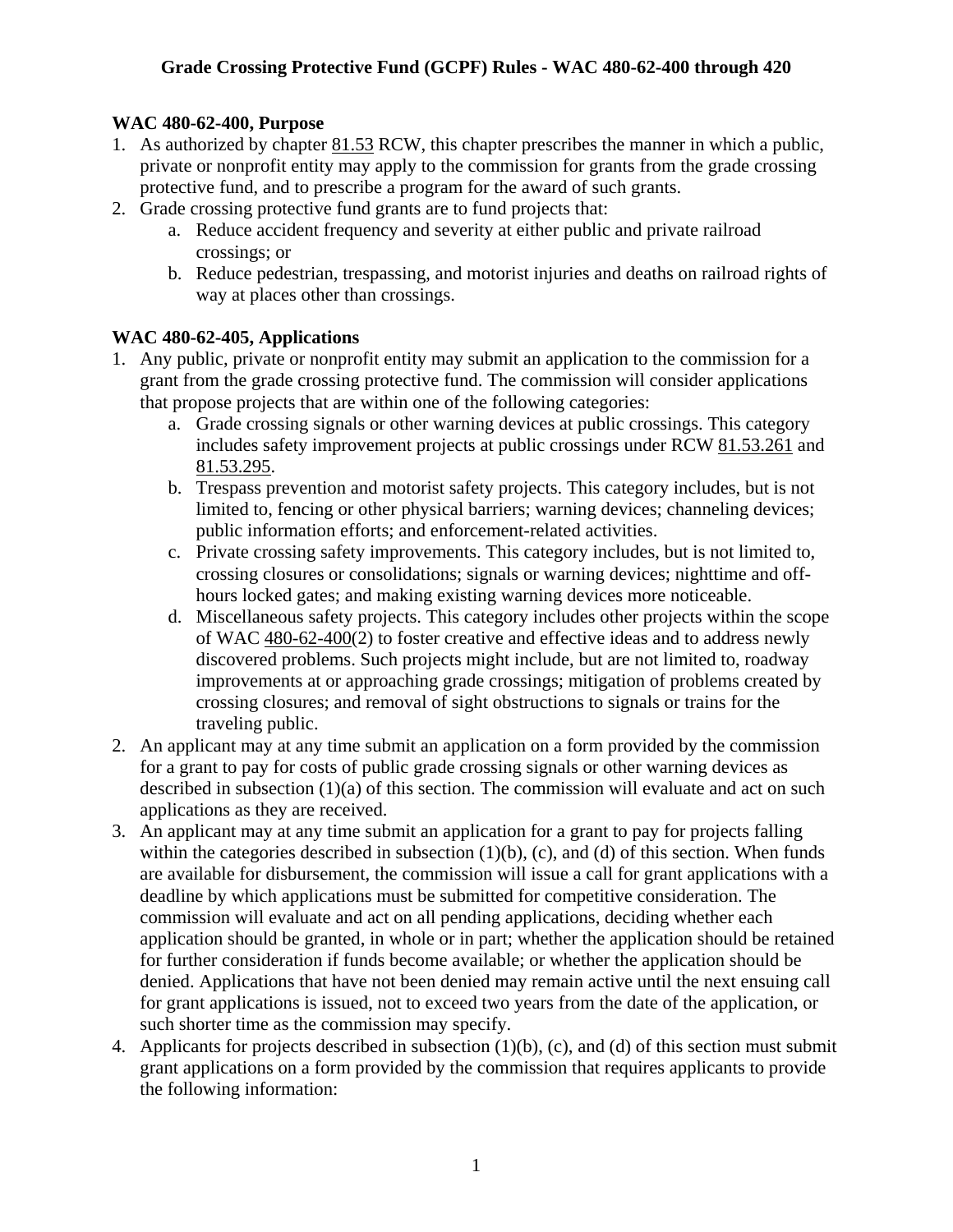## **WAC 480-62-400, Purpose**

- 1. As authorized by chapter 81.53 RCW, this chapter prescribes the manner in which a public, private or nonprofit entity may apply to the commission for grants from the grade crossing protective fund, and to prescribe a program for the award of such grants.
- 2. Grade crossing protective fund grants are to fund projects that:
	- a. Reduce accident frequency and severity at either public and private railroad crossings; or
	- b. Reduce pedestrian, trespassing, and motorist injuries and deaths on railroad rights of way at places other than crossings.

#### **WAC 480-62-405, Applications**

- 1. Any public, private or nonprofit entity may submit an application to the commission for a grant from the grade crossing protective fund. The commission will consider applications that propose projects that are within one of the following categories:
	- a. Grade crossing signals or other warning devices at public crossings. This category includes safety improvement projects at public crossings under RCW 81.53.261 and 81.53.295.
	- b. Trespass prevention and motorist safety projects. This category includes, but is not limited to, fencing or other physical barriers; warning devices; channeling devices; public information efforts; and enforcement-related activities.
	- c. Private crossing safety improvements. This category includes, but is not limited to, crossing closures or consolidations; signals or warning devices; nighttime and offhours locked gates; and making existing warning devices more noticeable.
	- d. Miscellaneous safety projects. This category includes other projects within the scope of WAC 480-62-400(2) to foster creative and effective ideas and to address newly discovered problems. Such projects might include, but are not limited to, roadway improvements at or approaching grade crossings; mitigation of problems created by crossing closures; and removal of sight obstructions to signals or trains for the traveling public.
- 2. An applicant may at any time submit an application on a form provided by the commission for a grant to pay for costs of public grade crossing signals or other warning devices as described in subsection (1)(a) of this section. The commission will evaluate and act on such applications as they are received.
- 3. An applicant may at any time submit an application for a grant to pay for projects falling within the categories described in subsection  $(1)(b)$ ,  $(c)$ , and  $(d)$  of this section. When funds are available for disbursement, the commission will issue a call for grant applications with a deadline by which applications must be submitted for competitive consideration. The commission will evaluate and act on all pending applications, deciding whether each application should be granted, in whole or in part; whether the application should be retained for further consideration if funds become available; or whether the application should be denied. Applications that have not been denied may remain active until the next ensuing call for grant applications is issued, not to exceed two years from the date of the application, or such shorter time as the commission may specify.
- 4. Applicants for projects described in subsection (1)(b), (c), and (d) of this section must submit grant applications on a form provided by the commission that requires applicants to provide the following information: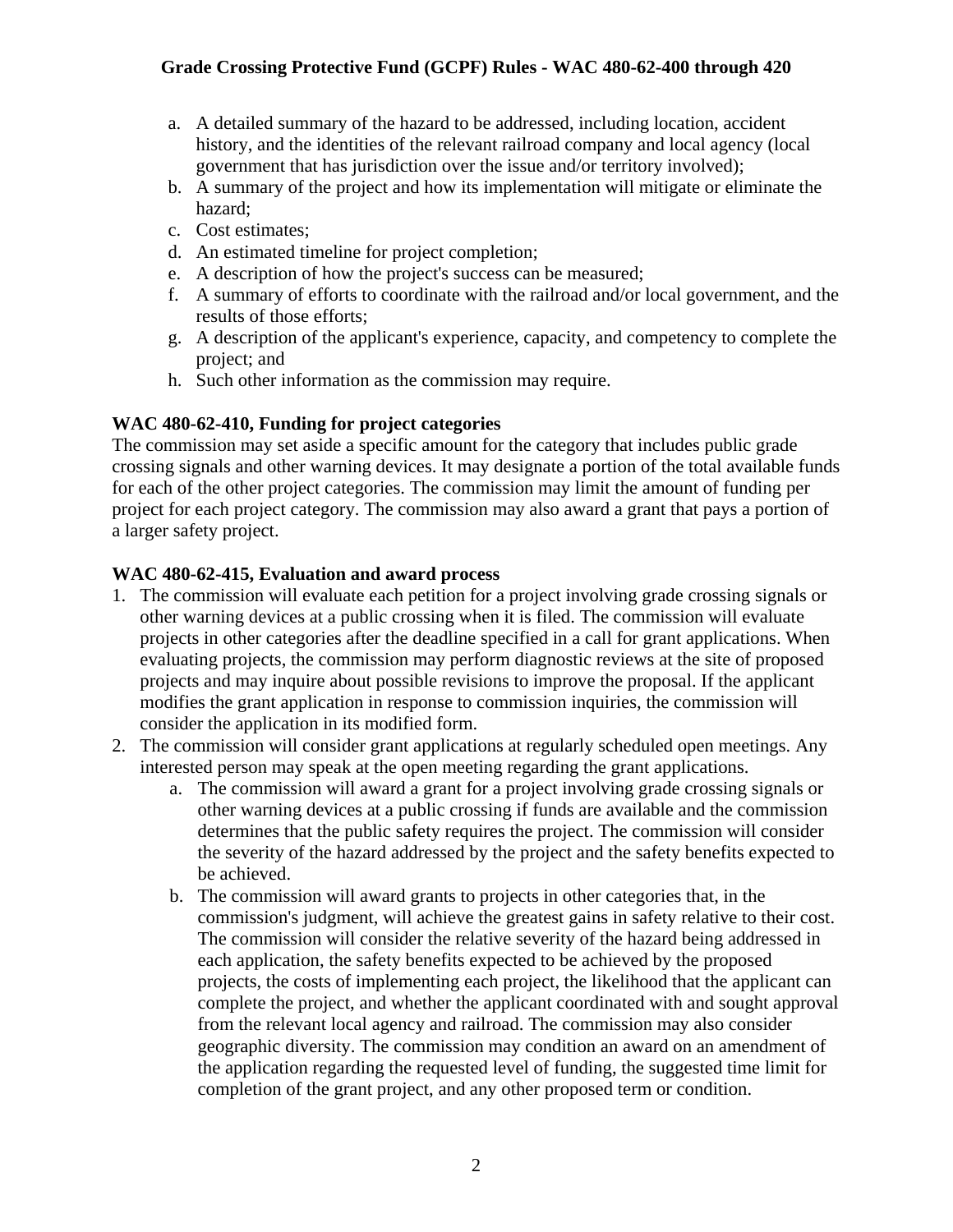- a. A detailed summary of the hazard to be addressed, including location, accident history, and the identities of the relevant railroad company and local agency (local government that has jurisdiction over the issue and/or territory involved);
- b. A summary of the project and how its implementation will mitigate or eliminate the hazard;
- c. Cost estimates;
- d. An estimated timeline for project completion;
- e. A description of how the project's success can be measured;
- f. A summary of efforts to coordinate with the railroad and/or local government, and the results of those efforts;
- g. A description of the applicant's experience, capacity, and competency to complete the project; and
- h. Such other information as the commission may require.

# **WAC 480-62-410, Funding for project categories**

The commission may set aside a specific amount for the category that includes public grade crossing signals and other warning devices. It may designate a portion of the total available funds for each of the other project categories. The commission may limit the amount of funding per project for each project category. The commission may also award a grant that pays a portion of a larger safety project.

## **WAC 480-62-415, Evaluation and award process**

- 1. The commission will evaluate each petition for a project involving grade crossing signals or other warning devices at a public crossing when it is filed. The commission will evaluate projects in other categories after the deadline specified in a call for grant applications. When evaluating projects, the commission may perform diagnostic reviews at the site of proposed projects and may inquire about possible revisions to improve the proposal. If the applicant modifies the grant application in response to commission inquiries, the commission will consider the application in its modified form.
- 2. The commission will consider grant applications at regularly scheduled open meetings. Any interested person may speak at the open meeting regarding the grant applications.
	- a. The commission will award a grant for a project involving grade crossing signals or other warning devices at a public crossing if funds are available and the commission determines that the public safety requires the project. The commission will consider the severity of the hazard addressed by the project and the safety benefits expected to be achieved.
	- b. The commission will award grants to projects in other categories that, in the commission's judgment, will achieve the greatest gains in safety relative to their cost. The commission will consider the relative severity of the hazard being addressed in each application, the safety benefits expected to be achieved by the proposed projects, the costs of implementing each project, the likelihood that the applicant can complete the project, and whether the applicant coordinated with and sought approval from the relevant local agency and railroad. The commission may also consider geographic diversity. The commission may condition an award on an amendment of the application regarding the requested level of funding, the suggested time limit for completion of the grant project, and any other proposed term or condition.